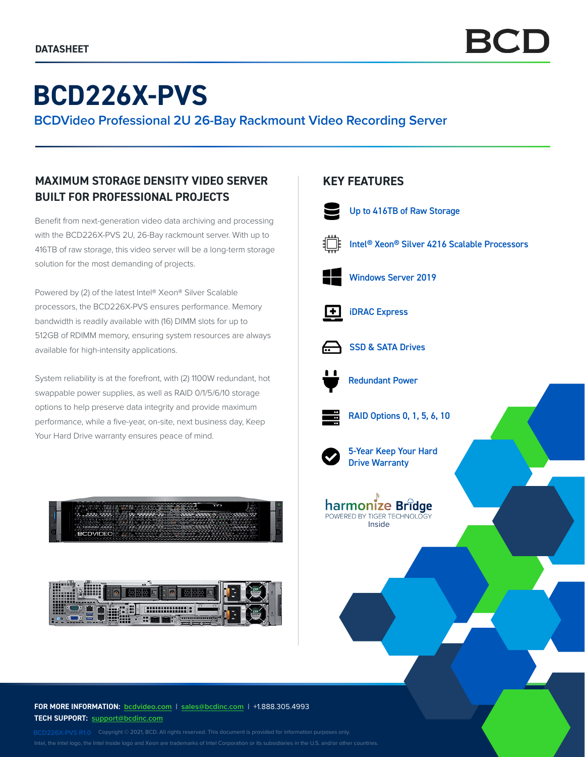# **BCD226X-PVS**

**BCDVideo Professional 2U 26-Bay Rackmount Video Recording Server**

# **MAXIMUM STORAGE DENSITY VIDEO SERVER BUILT FOR PROFESSIONAL PROJECTS**

Benefit from next-generation video data archiving and processing with the BCD226X-PVS 2U, 26-Bay rackmount server. With up to 416TB of raw storage, this video server will be a long-term storage solution for the most demanding of projects.

Powered by (2) of the latest Intel® Xeon® Silver Scalable processors, the BCD226X-PVS ensures performance. Memory bandwidth is readily available with (16) DIMM slots for up to 512GB of RDIMM memory, ensuring system resources are always available for high-intensity applications.

System reliability is at the forefront, with (2) 1100W redundant, hot swappable power supplies, as well as RAID 0/1/5/6/10 storage options to help preserve data integrity and provide maximum performance, while a five-year, on-site, next business day, Keep Your Hard Drive warranty ensures peace of mind.





### **FOR MORE INFORMATION: bcdvideo.com** | **[sales@bcdinc.com](mailto:sales%40bcdinc.com?subject=)** | +1.888.305.4993 **TECH SUPPORT: [support@bcdinc.com](mailto:support%40bcdinc.com?subject=)**

Intel, the Intel logo, the Intel Inside logo and Xeon are trademarks of Intel Corporation or its subsidiaries in the U.S. and/or other countries.

## **KEY FEATURES**